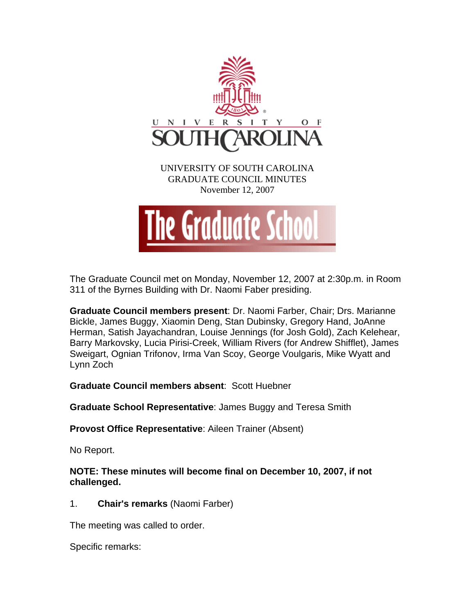

The Graduate Council met on Monday, November 12, 2007 at 2:30p.m. in Room 311 of the Byrnes Building with Dr. Naomi Faber presiding.

**Graduate Council members present**: Dr. Naomi Farber, Chair; Drs. Marianne Bickle, James Buggy, Xiaomin Deng, Stan Dubinsky, Gregory Hand, JoAnne Herman, Satish Jayachandran, Louise Jennings (for Josh Gold), Zach Kelehear, Barry Markovsky, Lucia Pirisi-Creek, William Rivers (for Andrew Shifflet), James Sweigart, Ognian Trifonov, Irma Van Scoy, George Voulgaris, Mike Wyatt and Lynn Zoch

**Graduate Council members absent**: Scott Huebner

**Graduate School Representative**: James Buggy and Teresa Smith

**Provost Office Representative**: Aileen Trainer (Absent)

No Report.

**NOTE: These minutes will become final on December 10, 2007, if not challenged.** 

1. **Chair's remarks** (Naomi Farber)

The meeting was called to order.

Specific remarks: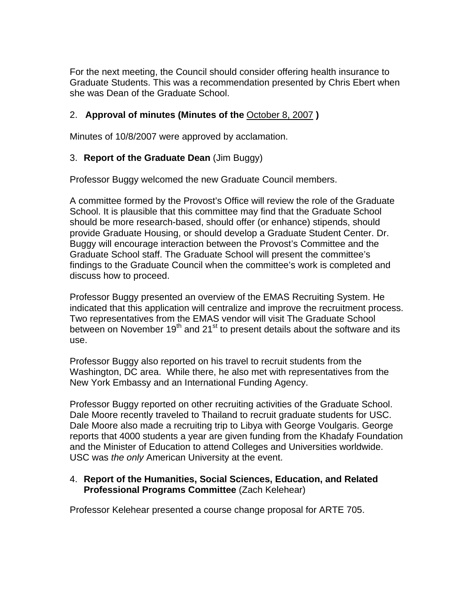For the next meeting, the Council should consider offering health insurance to Graduate Students. This was a recommendation presented by Chris Ebert when she was Dean of the Graduate School.

# 2. **Approval of minutes (Minutes of the** October 8, 2007 **)**

Minutes of 10/8/2007 were approved by acclamation.

# 3. **Report of the Graduate Dean** (Jim Buggy)

Professor Buggy welcomed the new Graduate Council members.

A committee formed by the Provost's Office will review the role of the Graduate School. It is plausible that this committee may find that the Graduate School should be more research-based, should offer (or enhance) stipends, should provide Graduate Housing, or should develop a Graduate Student Center. Dr. Buggy will encourage interaction between the Provost's Committee and the Graduate School staff. The Graduate School will present the committee's findings to the Graduate Council when the committee's work is completed and discuss how to proceed.

Professor Buggy presented an overview of the EMAS Recruiting System. He indicated that this application will centralize and improve the recruitment process. Two representatives from the EMAS vendor will visit The Graduate School between on November  $19<sup>th</sup>$  and  $21<sup>st</sup>$  to present details about the software and its use.

Professor Buggy also reported on his travel to recruit students from the Washington, DC area. While there, he also met with representatives from the New York Embassy and an International Funding Agency.

Professor Buggy reported on other recruiting activities of the Graduate School. Dale Moore recently traveled to Thailand to recruit graduate students for USC. Dale Moore also made a recruiting trip to Libya with George Voulgaris. George reports that 4000 students a year are given funding from the Khadafy Foundation and the Minister of Education to attend Colleges and Universities worldwide. USC was *the only* American University at the event.

## 4. **Report of the Humanities, Social Sciences, Education, and Related Professional Programs Committee** (Zach Kelehear)

Professor Kelehear presented a course change proposal for ARTE 705.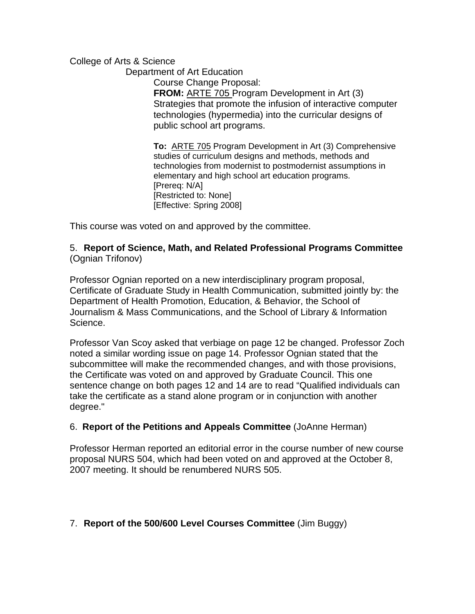College of Arts & Science

Department of Art Education

 Course Change Proposal: **FROM:** ARTE 705 Program Development in Art (3) Strategies that promote the infusion of interactive computer technologies (hypermedia) into the curricular designs of public school art programs.

**To:** ARTE 705 Program Development in Art (3) Comprehensive studies of curriculum designs and methods, methods and technologies from modernist to postmodernist assumptions in elementary and high school art education programs. [Prereq: N/A] [Restricted to: None] [Effective: Spring 2008]

This course was voted on and approved by the committee.

## 5. **Report of Science, Math, and Related Professional Programs Committee** (Ognian Trifonov)

Professor Ognian reported on a new interdisciplinary program proposal, Certificate of Graduate Study in Health Communication, submitted jointly by: the Department of Health Promotion, Education, & Behavior, the School of Journalism & Mass Communications, and the School of Library & Information Science.

Professor Van Scoy asked that verbiage on page 12 be changed. Professor Zoch noted a similar wording issue on page 14. Professor Ognian stated that the subcommittee will make the recommended changes, and with those provisions, the Certificate was voted on and approved by Graduate Council. This one sentence change on both pages 12 and 14 are to read "Qualified individuals can take the certificate as a stand alone program or in conjunction with another degree."

## 6. **Report of the Petitions and Appeals Committee** (JoAnne Herman)

Professor Herman reported an editorial error in the course number of new course proposal NURS 504, which had been voted on and approved at the October 8, 2007 meeting. It should be renumbered NURS 505.

# 7. **Report of the 500/600 Level Courses Committee** (Jim Buggy)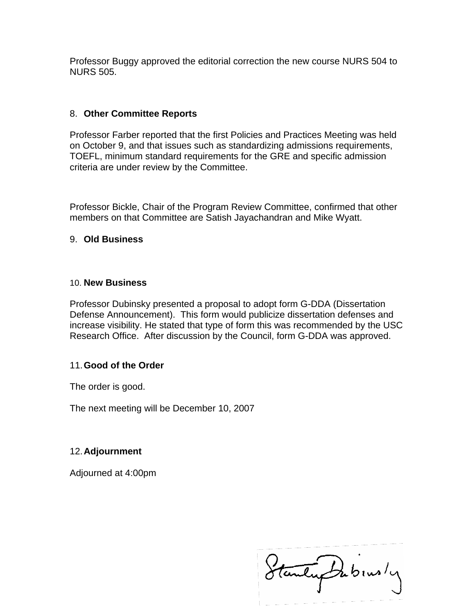Professor Buggy approved the editorial correction the new course NURS 504 to NURS 505.

## 8. **Other Committee Reports**

Professor Farber reported that the first Policies and Practices Meeting was held on October 9, and that issues such as standardizing admissions requirements, TOEFL, minimum standard requirements for the GRE and specific admission criteria are under review by the Committee.

Professor Bickle, Chair of the Program Review Committee, confirmed that other members on that Committee are Satish Jayachandran and Mike Wyatt.

## 9. **Old Business**

#### 10. **New Business**

Professor Dubinsky presented a proposal to adopt form G-DDA (Dissertation Defense Announcement). This form would publicize dissertation defenses and increase visibility. He stated that type of form this was recommended by the USC Research Office. After discussion by the Council, form G-DDA was approved.

## 11. **Good of the Order**

The order is good.

The next meeting will be December 10, 2007

## 12. **Adjournment**

Adjourned at 4:00pm

Stanley Dubinsly